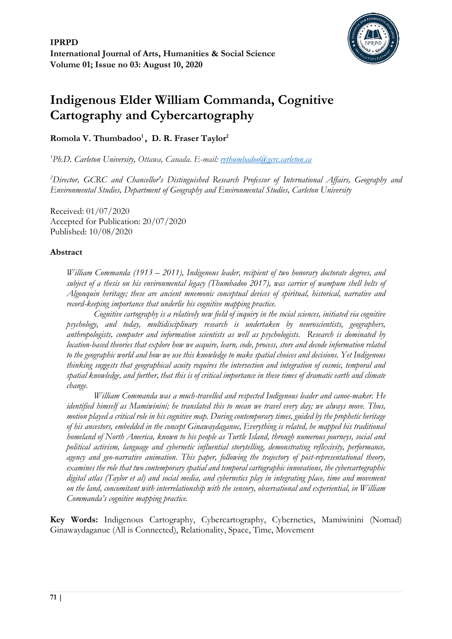

# **Indigenous Elder William Commanda, Cognitive Cartography and Cybercartography**

# **Romola V. Thumbadoo<sup>1</sup> , D. R. Fraser Taylor<sup>2</sup>**

*<sup>1</sup>Ph.D. Carleton University, Ottawa, Canada. E-mail: [rvthumbadoo@gcrc.carleton.ca](mailto:rvthumbadoo@gcrc.carleton.ca)*

*<sup>2</sup>Director, GCRC and Chancellor's Distinguished Research Professor of International Affairs, Geography and Environmental Studies, Department of Geography and Environmental Studies, Carleton University*

Received: 01/07/2020 Accepted for Publication: 20/07/2020 Published: 10/08/2020

## **Abstract**

*William Commanda (1913 – 2011), Indigenous leader, recipient of two honorary doctorate degrees, and subject of a thesis on his environmental legacy (Thumbadoo 2017), was carrier of wampum shell belts of Algonquin heritage; these are ancient mnemonic conceptual devices of spiritual, historical, narrative and record-keeping importance that underlie his cognitive mapping practice.*

*Cognitive cartography is a relatively new field of inquiry in the social sciences, initiated via cognitive psychology, and today, multidisciplinary research is undertaken by neuroscientists, geographers, anthropologists, computer and information scientists as well as psychologists. Research is dominated by location-based theories that explore how we acquire, learn, code, process, store and decode information related to the geographic world and how we use this knowledge to make spatial choices and decisions. Yet Indigenous thinking suggests that geographical acuity requires the intersection and integration of cosmic, temporal and spatial knowledge, and further, that this is of critical importance in these times of dramatic earth and climate change.*

*William Commanda was a much-travelled and respected Indigenous leader and canoe-maker. He identified himself as Mamiwinini; he translated this to mean we travel every day; we always move. Thus, motion played a critical role in his cognitive map. During contemporary times, guided by the prophetic heritage of his ancestors, embedded in the concept Ginawaydaganuc, Everything is related, he mapped his traditional homeland of North America, known to his people as Turtle Island, through numerous journeys, social and political activism, language and cybernetic influential storytelling, demonstrating reflexivity, performance, agency and geo-narrative animation. This paper, following the trajectory of post-representational theory, examines the role that two contemporary spatial and temporal cartographic innovations, the cybercartographic digital atlas (Taylor et al) and social media, and cybernetics play in integrating place, time and movement on the land, concomitant with interrelationship with the sensory, observational and experiential, in William Commanda's cognitive mapping practice.*

**Key Words:** Indigenous Cartography, Cybercartography, Cybernetics, Mamiwinini (Nomad) Ginawaydaganuc (All is Connected), Relationality, Space, Time, Movement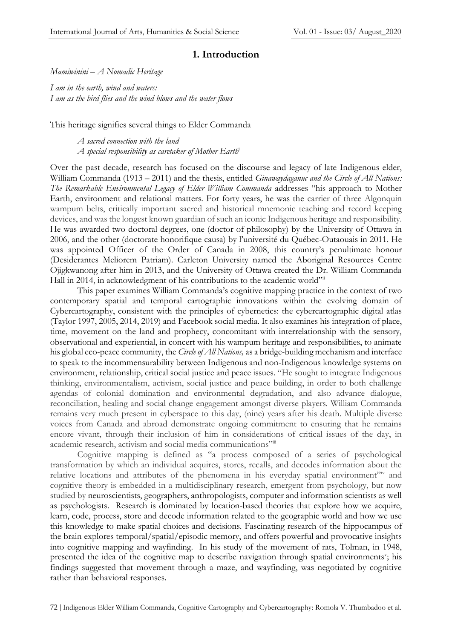#### **1. Introduction**

*Mamiwinini – A Nomadic Heritage*

*I am in the earth, wind and waters: I am as the bird flies and the wind blows and the water flows*

This heritage signifies several things to Elder Commanda

*A sacred connection with the land A special responsibility as caretaker of Mother Earth*<sup>i</sup>

Over the past decade, research has focused on the discourse and legacy of late Indigenous elder, William Commanda (1913 – 2011) and the thesis, entitled *Ginawaydaganuc and the Circle of All Nations: The Remarkable Environmental Legacy of Elder William Commanda* addresses "his approach to Mother Earth, environment and relational matters. For forty years, he was the carrier of three Algonquin wampum belts, critically important sacred and historical mnemonic teaching and record keeping devices, and was the longest known guardian of such an iconic Indigenous heritage and responsibility. He was awarded two doctoral degrees, one (doctor of philosophy) by the University of Ottawa in 2006, and the other (doctorate honorifique causa) by l'université du Québec-Outaouais in 2011. He was appointed Officer of the Order of Canada in 2008, this country's penultimate honour (Desiderantes Meliorem Patriam). Carleton University named the Aboriginal Resources Centre Ojigkwanong after him in 2013, and the University of Ottawa created the Dr. William Commanda Hall in 2014, in acknowledgment of his contributions to the academic world"ii

This paper examines William Commanda's cognitive mapping practice in the context of two contemporary spatial and temporal cartographic innovations within the evolving domain of Cybercartography, consistent with the principles of cybernetics: the cybercartographic digital atlas (Taylor 1997, 2005, 2014, 2019) and Facebook social media. It also examines his integration of place, time, movement on the land and prophecy, concomitant with interrelationship with the sensory, observational and experiential, in concert with his wampum heritage and responsibilities, to animate his global eco-peace community, the *Circle of All Nations,* as a bridge-building mechanism and interface to speak to the incommensurability between Indigenous and non-Indigenous knowledge systems on environment, relationship, critical social justice and peace issues. "He sought to integrate Indigenous thinking, environmentalism, activism, social justice and peace building, in order to both challenge agendas of colonial domination and environmental degradation, and also advance dialogue, reconciliation, healing and social change engagement amongst diverse players. William Commanda remains very much present in cyberspace to this day, (nine) years after his death. Multiple diverse voices from Canada and abroad demonstrate ongoing commitment to ensuring that he remains encore vivant, through their inclusion of him in considerations of critical issues of the day, in academic research, activism and social media communications"<sup>iii</sup>

Cognitive mapping is defined as "a process composed of a series of psychological transformation by which an individual acquires, stores, recalls, and decodes information about the relative locations and attributes of the phenomena in his everyday spatial environment" and cognitive theory is embedded in a multidisciplinary research, emergent from psychology, but now studied by neuroscientists, geographers, anthropologists, computer and information scientists as well as psychologists. Research is dominated by location-based theories that explore how we acquire, learn, code, process, store and decode information related to the geographic world and how we use this knowledge to make spatial choices and decisions. Fascinating research of the hippocampus of the brain explores temporal/spatial/episodic memory, and offers powerful and provocative insights into cognitive mapping and wayfinding. In his study of the movement of rats, Tolman, in 1948, presented the idea of the cognitive map to describe navigation through spatial environments'; his findings suggested that movement through a maze, and wayfinding, was negotiated by cognitive rather than behavioral responses.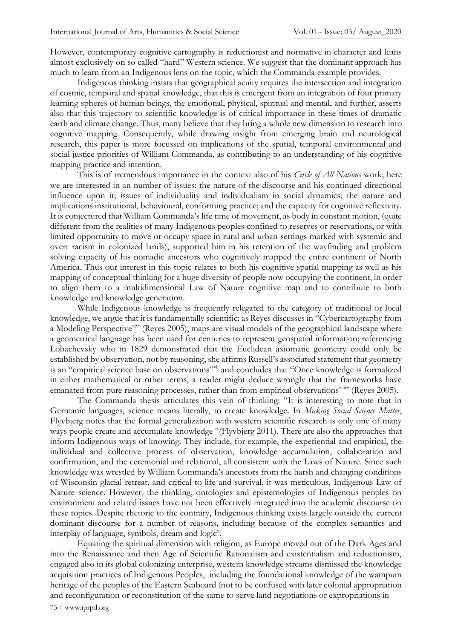However, contemporary cognitive cartography is reductionist and normative in character and leans almost exclusively on so called "hard" Western science. We suggest that the dominant approach has much to learn from an Indigenous lens on the topic, which the Commanda example provides.

Indigenous thinking insists that geographical acuity requires the intersection and integration of cosmic, temporal and spatial knowledge, that this is emergent from an integration of four primary learning spheres of human beings, the emotional, physical, spiritual and mental, and further, asserts also that this trajectory to scientific knowledge is of critical importance in these times of dramatic earth and climate change. Thus, many believe that they bring a whole new dimension to research into cognitive mapping. Consequently, while drawing insight from emerging brain and neurological research, this paper is more focussed on implications of the spatial, temporal environmental and social justice priorities of William Commanda, as contributing to an understanding of his cognitive mapping practice and intention.

This is of tremendous importance in the context also of his *Circle of All Nations* work; here we are interested in an number of issues: the nature of the discourse and his continued directional influence upon it; issues of individuality and individualism in social dynamics; the nature and implications institutional, behavioural, conforming practice; and the capacity for cognitive reflexivity. It is conjectured that William Commanda's life time of movement, as body in constant motion, (quite different from the realities of many Indigenous peoples confined to reserves or reservations, or with limited opportunity to move or occupy space in rural and urban settings marked with systemic and overt racism in colonized lands), supported him in his retention of the wayfinding and problem solving capacity of his nomadic ancestors who cognitively mapped the entire continent of North America. Thus our interest in this topic relates to both his cognitive spatial mapping as well as his mapping of conceptual thinking for a huge diversity of people now occupying the continent, in order to align them to a multidimensional Law of Nature cognitive map and to contribute to both knowledge and knowledge generation.

While Indigenous knowledge is frequently relegated to the category of traditional or local knowledge, we argue that it is fundamentally scientific: as Reyes discusses in "Cybercartography from a Modeling Perspective<sup>vi</sup>" (Reyes 2005), maps are visual models of the geographical landscape where a geometrical language has been used for centuries to represent geospatial information; referencing Lobachevsky who in 1829 demonstrated that the Euclidean axiomatic geometry could only be established by observation, not by reasoning, she affirms Russell's associated statement that geometry is an "empirical science base on observations"vii and concludes that "Once knowledge is formalized in either mathematical or other terms, a reader might deduce wrongly that the frameworks have emanated from pure reasoning processes, rather than from empirical observations<sup>viii</sup><sup>7</sup> (Reyes 2005).

The Commanda thesis articulates this vein of thinking: "It is interesting to note that in Germanic languages, science means literally, to create knowledge. In *Making Social Science Matter*, Flyvbjerg notes that the formal generalization with western scientific research is only one of many ways people create and accumulate knowledge <sup>ix</sup>(Flyvbjerg 2011). There are also the approaches that inform Indigenous ways of knowing. They include, for example, the experiential and empirical, the individual and collective process of observation, knowledge accumulation, collaboration and confirmation, and the ceremonial and relational, all consistent with the Laws of Nature. Since such knowledge was wrestled by William Commanda's ancestors from the harsh and changing conditions of Wisconsin glacial retreat, and critical to life and survival, it was meticulous, Indigenous Law of Nature science. However, the thinking, ontologies and epistemologies of Indigenous peoples on environment and related issues have not been effectively integrated into the academic discourse on these topics. Despite rhetoric to the contrary, Indigenous thinking exists largely outside the current dominant discourse for a number of reasons, including because of the complex semantics and interplay of language, symbols, dream and logic<sup>x</sup>.

Equating the spiritual dimension with religion, as Europe moved out of the Dark Ages and into the Renaissance and then Age of Scientific Rationalism and existentialism and reductionism, engaged also in its global colonizing enterprise, western knowledge streams dismissed the knowledge acquisition practices of Indigenous Peoples, including the foundational knowledge of the wampum heritage of the peoples of the Eastern Seaboard (not to be confused with later colonial appropriation and reconfiguration or reconstitution of the same to serve land negotiations or expropriations in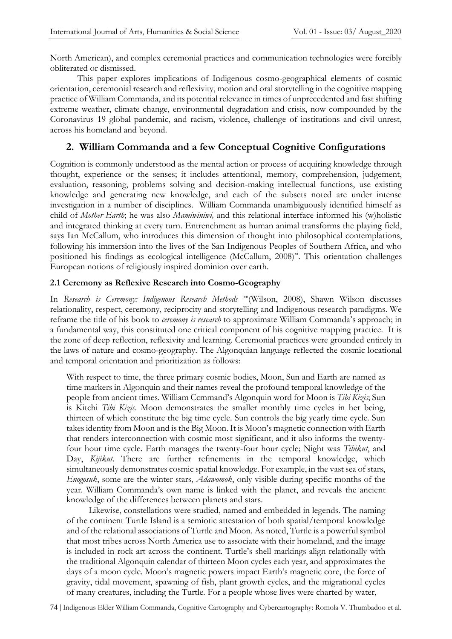North American), and complex ceremonial practices and communication technologies were forcibly obliterated or dismissed.

This paper explores implications of Indigenous cosmo-geographical elements of cosmic orientation, ceremonial research and reflexivity, motion and oral storytelling in the cognitive mapping practice of William Commanda, and its potential relevance in times of unprecedented and fast shifting extreme weather, climate change, environmental degradation and crisis, now compounded by the Coronavirus 19 global pandemic, and racism, violence, challenge of institutions and civil unrest, across his homeland and beyond.

# **2. William Commanda and a few Conceptual Cognitive Configurations**

Cognition is commonly understood as the mental action or process of acquiring knowledge through thought, experience or the senses; it includes attentional, memory, comprehension, judgement, evaluation, reasoning, problems solving and decision-making intellectual functions, use existing knowledge and generating new knowledge, and each of the subsets noted are under intense investigation in a number of disciplines. William Commanda unambiguously identified himself as child of *Mother Earth*; he was also *Mamiwiniwi,* and this relational interface informed his (w)holistic and integrated thinking at every turn. Entrenchment as human animal transforms the playing field, says Ian McCallum, who introduces this dimension of thought into philosophical contemplations, following his immersion into the lives of the San Indigenous Peoples of Southern Africa, and who positioned his findings as ecological intelligence (McCallum, 2008)<sup>xi</sup>. This orientation challenges European notions of religiously inspired dominion over earth.

#### **2.1 Ceremony as Reflexive Research into Cosmo-Geography**

In *Research is Ceremony: Indigenous Research Methods* xii(Wilson, 2008), Shawn Wilson discusses relationality, respect, ceremony, reciprocity and storytelling and Indigenous research paradigms. We reframe the title of his book to *ceremony is research* to approximate William Commanda's approach; in a fundamental way, this constituted one critical component of his cognitive mapping practice. It is the zone of deep reflection, reflexivity and learning. Ceremonial practices were grounded entirely in the laws of nature and cosmo-geography. The Algonquian language reflected the cosmic locational and temporal orientation and prioritization as follows:

With respect to time, the three primary cosmic bodies, Moon, Sun and Earth are named as time markers in Algonquin and their names reveal the profound temporal knowledge of the people from ancient times. William Ccmmand's Algonquin word for Moon is *Tibi Kizis*; Sun is Kitchi *Tibi Kizis*. Moon demonstrates the smaller monthly time cycles in her being, thirteen of which constitute the big time cycle. Sun controls the big yearly time cycle. Sun takes identity from Moon and is the Big Moon. It is Moon's magnetic connection with Earth that renders interconnection with cosmic most significant, and it also informs the twentyfour hour time cycle. Earth manages the twenty-four hour cycle; Night was *Tibikut*, and Day, *Kijikut*. There are further refinements in the temporal knowledge, which simultaneously demonstrates cosmic spatial knowledge. For example, in the vast sea of stars, *Enogosuk*, some are the winter stars, *Adawomok*, only visible during specific months of the year. William Commanda's own name is linked with the planet, and reveals the ancient knowledge of the differences between planets and stars.

 Likewise, constellations were studied, named and embedded in legends. The naming of the continent Turtle Island is a semiotic attestation of both spatial/temporal knowledge and of the relational associations of Turtle and Moon. As noted, Turtle is a powerful symbol that most tribes across North America use to associate with their homeland, and the image is included in rock art across the continent. Turtle's shell markings align relationally with the traditional Algonquin calendar of thirteen Moon cycles each year, and approximates the days of a moon cycle. Moon's magnetic powers impact Earth's magnetic core, the force of gravity, tidal movement, spawning of fish, plant growth cycles, and the migrational cycles of many creatures, including the Turtle. For a people whose lives were charted by water,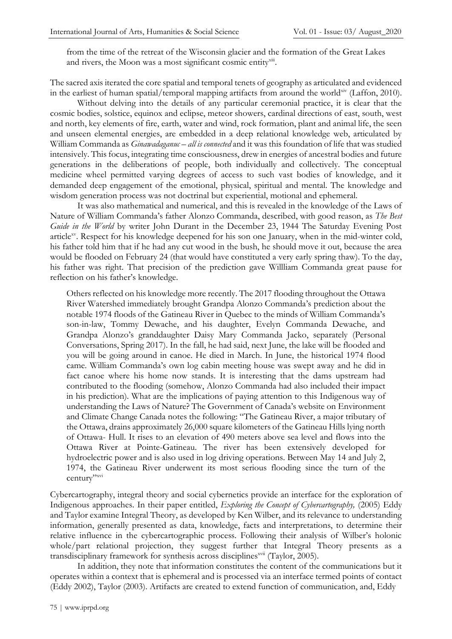from the time of the retreat of the Wisconsin glacier and the formation of the Great Lakes and rivers, the Moon was a most significant cosmic entity xiii.

The sacred axis iterated the core spatial and temporal tenets of geography as articulated and evidenced in the earliest of human spatial/temporal mapping artifacts from around the worldxiv (Laffon, 2010).

Without delving into the details of any particular ceremonial practice, it is clear that the cosmic bodies, solstice, equinox and eclipse, meteor showers, cardinal directions of east, south, west and north, key elements of fire, earth, water and wind, rock formation, plant and animal life, the seen and unseen elemental energies, are embedded in a deep relational knowledge web, articulated by William Commanda as *Ginawadaganuc – all is connected* and it was this foundation of life that was studied intensively. This focus, integrating time consciousness, drew in energies of ancestral bodies and future generations in the deliberations of people, both individually and collectively. The conceptual medicine wheel permitted varying degrees of access to such vast bodies of knowledge, and it demanded deep engagement of the emotional, physical, spiritual and mental. The knowledge and wisdom generation process was not doctrinal but experiential, motional and ephemeral.

It was also mathematical and numerical, and this is revealed in the knowledge of the Laws of Nature of William Commanda's father Alonzo Commanda, described, with good reason, as *The Best Guide in the World* by writer John Durant in the December 23, 1944 The Saturday Evening Post article<sup>xy</sup>. Respect for his knowledge deepened for his son one January, when in the mid-winter cold, his father told him that if he had any cut wood in the bush, he should move it out, because the area would be flooded on February 24 (that would have constituted a very early spring thaw). To the day, his father was right. That precision of the prediction gave Willliam Commanda great pause for reflection on his father's knowledge.

Others reflected on his knowledge more recently. The 2017 flooding throughout the Ottawa River Watershed immediately brought Grandpa Alonzo Commanda's prediction about the notable 1974 floods of the Gatineau River in Quebec to the minds of William Commanda's son-in-law, Tommy Dewache, and his daughter, Evelyn Commanda Dewache, and Grandpa Alonzo's granddaughter Daisy Mary Commanda Jacko, separately (Personal Conversations, Spring 2017). In the fall, he had said, next June, the lake will be flooded and you will be going around in canoe. He died in March. In June, the historical 1974 flood came. William Commanda's own log cabin meeting house was swept away and he did in fact canoe where his home now stands. It is interesting that the dams upstream had contributed to the flooding (somehow, Alonzo Commanda had also included their impact in his prediction). What are the implications of paying attention to this Indigenous way of understanding the Laws of Nature? The Government of Canada's website on Environment and Climate Change Canada notes the following: "The Gatineau River, a major tributary of the Ottawa, drains approximately 26,000 square kilometers of the Gatineau Hills lying north of Ottawa- Hull. It rises to an elevation of 490 meters above sea level and flows into the Ottawa River at Pointe-Gatineau. The river has been extensively developed for hydroelectric power and is also used in log driving operations. Between May 14 and July 2, 1974, the Gatineau River underwent its most serious flooding since the turn of the century"xvi

Cybercartography, integral theory and social cybernetics provide an interface for the exploration of Indigenous approaches. In their paper entitled, *Exploring the Concept of Cybercartography,* (2005) Eddy and Taylor examine Integral Theory, as developed by Ken Wilber, and its relevance to understanding information, generally presented as data, knowledge, facts and interpretations, to determine their relative influence in the cybercartographic process. Following their analysis of Wilber's holonic whole/part relational projection, they suggest further that Integral Theory presents as a transdisciplinary framework for synthesis across disciplines<sup>xvii</sup> (Taylor, 2005).

In addition, they note that information constitutes the content of the communications but it operates within a context that is ephemeral and is processed via an interface termed points of contact (Eddy 2002), Taylor (2003). Artifacts are created to extend function of communication, and, Eddy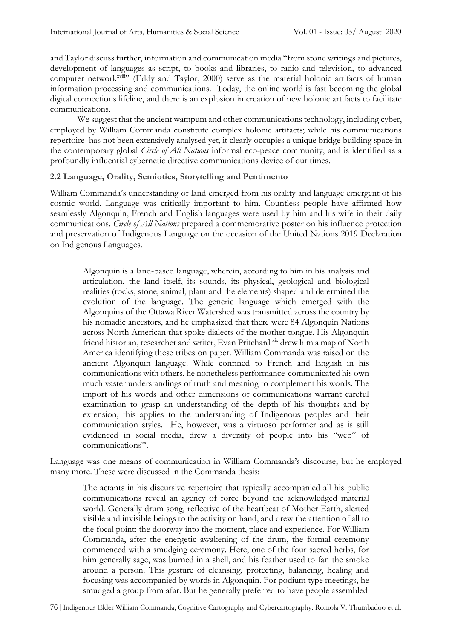and Taylor discuss further, information and communication media "from stone writings and pictures, development of languages as script, to books and libraries, to radio and television, to advanced computer network<sup>xviii</sup>" (Eddy and Taylor, 2000) serve as the material holonic artifacts of human information processing and communications. Today, the online world is fast becoming the global digital connections lifeline, and there is an explosion in creation of new holonic artifacts to facilitate communications.

We suggest that the ancient wampum and other communications technology, including cyber, employed by William Commanda constitute complex holonic artifacts; while his communications repertoire has not been extensively analysed yet, it clearly occupies a unique bridge building space in the contemporary global *Circle of All Nations* informal eco-peace community, and is identified as a profoundly influential cybernetic directive communications device of our times.

#### **2.2 Language, Orality, Semiotics, Storytelling and Pentimento**

William Commanda's understanding of land emerged from his orality and language emergent of his cosmic world. Language was critically important to him. Countless people have affirmed how seamlessly Algonquin, French and English languages were used by him and his wife in their daily communications. *Circle of All Nations* prepared a commemorative poster on his influence protection and preservation of Indigenous Language on the occasion of the United Nations 2019 Declaration on Indigenous Languages.

Algonquin is a land-based language, wherein, according to him in his analysis and articulation, the land itself, its sounds, its physical, geological and biological realities (rocks, stone, animal, plant and the elements) shaped and determined the evolution of the language. The generic language which emerged with the Algonquins of the Ottawa River Watershed was transmitted across the country by his nomadic ancestors, and he emphasized that there were 84 Algonquin Nations across North American that spoke dialects of the mother tongue. His Algonquin friend historian, researcher and writer, Evan Pritchard xix drew him a map of North America identifying these tribes on paper. William Commanda was raised on the ancient Algonquin language. While confined to French and English in his communications with others, he nonetheless performance-communicated his own much vaster understandings of truth and meaning to complement his words. The import of his words and other dimensions of communications warrant careful examination to grasp an understanding of the depth of his thoughts and by extension, this applies to the understanding of Indigenous peoples and their communication styles. He, however, was a virtuoso performer and as is still evidenced in social media, drew a diversity of people into his "web" of communications<sup>xx</sup>.

Language was one means of communication in William Commanda's discourse; but he employed many more. These were discussed in the Commanda thesis:

The actants in his discursive repertoire that typically accompanied all his public communications reveal an agency of force beyond the acknowledged material world. Generally drum song, reflective of the heartbeat of Mother Earth, alerted visible and invisible beings to the activity on hand, and drew the attention of all to the focal point: the doorway into the moment, place and experience. For William Commanda, after the energetic awakening of the drum, the formal ceremony commenced with a smudging ceremony. Here, one of the four sacred herbs, for him generally sage, was burned in a shell, and his feather used to fan the smoke around a person. This gesture of cleansing, protecting, balancing, healing and focusing was accompanied by words in Algonquin. For podium type meetings, he smudged a group from afar. But he generally preferred to have people assembled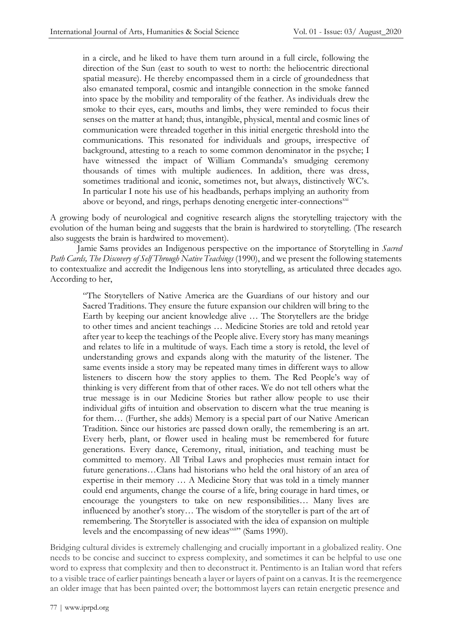in a circle, and he liked to have them turn around in a full circle, following the direction of the Sun (east to south to west to north: the heliocentric directional spatial measure). He thereby encompassed them in a circle of groundedness that also emanated temporal, cosmic and intangible connection in the smoke fanned into space by the mobility and temporality of the feather. As individuals drew the smoke to their eyes, ears, mouths and limbs, they were reminded to focus their senses on the matter at hand; thus, intangible, physical, mental and cosmic lines of communication were threaded together in this initial energetic threshold into the communications. This resonated for individuals and groups, irrespective of background, attesting to a reach to some common denominator in the psyche; I have witnessed the impact of William Commanda's smudging ceremony thousands of times with multiple audiences. In addition, there was dress, sometimes traditional and iconic, sometimes not, but always, distinctively WC's. In particular I note his use of his headbands, perhaps implying an authority from above or beyond, and rings, perhaps denoting energetic inter-connections<sup>xxi</sup>

A growing body of neurological and cognitive research aligns the storytelling trajectory with the evolution of the human being and suggests that the brain is hardwired to storytelling. (The research also suggests the brain is hardwired to movement).

Jamie Sams provides an Indigenous perspective on the importance of Storytelling in *Sacred Path Cards, The Discovery of Self Through Native Teachings* (1990), and we present the following statements to contextualize and accredit the Indigenous lens into storytelling, as articulated three decades ago. According to her,

"The Storytellers of Native America are the Guardians of our history and our Sacred Traditions. They ensure the future expansion our children will bring to the Earth by keeping our ancient knowledge alive … The Storytellers are the bridge to other times and ancient teachings … Medicine Stories are told and retold year after year to keep the teachings of the People alive. Every story has many meanings and relates to life in a multitude of ways. Each time a story is retold, the level of understanding grows and expands along with the maturity of the listener. The same events inside a story may be repeated many times in different ways to allow listeners to discern how the story applies to them. The Red People's way of thinking is very different from that of other races. We do not tell others what the true message is in our Medicine Stories but rather allow people to use their individual gifts of intuition and observation to discern what the true meaning is for them… (Further, she adds) Memory is a special part of our Native American Tradition. Since our histories are passed down orally, the remembering is an art. Every herb, plant, or flower used in healing must be remembered for future generations. Every dance, Ceremony, ritual, initiation, and teaching must be committed to memory. All Tribal Laws and prophecies must remain intact for future generations…Clans had historians who held the oral history of an area of expertise in their memory … A Medicine Story that was told in a timely manner could end arguments, change the course of a life, bring courage in hard times, or encourage the youngsters to take on new responsibilities… Many lives are influenced by another's story… The wisdom of the storyteller is part of the art of remembering. The Storyteller is associated with the idea of expansion on multiple levels and the encompassing of new ideas<sup>xxii</sup><sup>3</sup> (Sams 1990).

Bridging cultural divides is extremely challenging and crucially important in a globalized reality. One needs to be concise and succinct to express complexity, and sometimes it can be helpful to use one word to express that complexity and then to deconstruct it. Pentimento is an Italian word that refers to a visible trace of earlier paintings beneath a layer or layers of paint on a canvas. It is the reemergence an older image that has been painted over; the bottommost layers can retain energetic presence and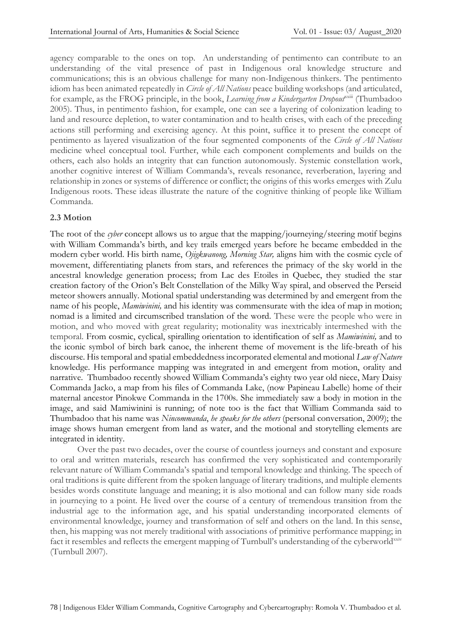agency comparable to the ones on top. An understanding of pentimento can contribute to an understanding of the vital presence of past in Indigenous oral knowledge structure and communications; this is an obvious challenge for many non-Indigenous thinkers. The pentimento idiom has been animated repeatedly in *Circle of All Nations* peace building workshops (and articulated, for example, as the FROG principle, in the book, *Learning from a Kindergarten Dropout*<sup>xxiii</sup> (Thumbadoo 2005). Thus, in pentimento fashion, for example, one can see a layering of colonization leading to land and resource depletion, to water contamination and to health crises, with each of the preceding actions still performing and exercising agency. At this point, suffice it to present the concept of pentimento as layered visualization of the four segmented components of the *Circle of All Nations* medicine wheel conceptual tool. Further, while each component complements and builds on the others, each also holds an integrity that can function autonomously. Systemic constellation work, another cognitive interest of William Commanda's, reveals resonance, reverberation, layering and relationship in zones or systems of difference or conflict; the origins of this works emerges with Zulu Indigenous roots. These ideas illustrate the nature of the cognitive thinking of people like William Commanda.

#### **2.3 Motion**

The root of the *cyber* concept allows us to argue that the mapping/journeying/steering motif begins with William Commanda's birth, and key trails emerged years before he became embedded in the modern cyber world. His birth name, *Ojigkwanong, Morning Star,* aligns him with the cosmic cycle of movement, differentiating planets from stars, and references the primacy of the sky world in the ancestral knowledge generation process; from Lac des Etoiles in Quebec, they studied the star creation factory of the Orion's Belt Constellation of the Milky Way spiral, and observed the Perseid meteor showers annually. Motional spatial understanding was determined by and emergent from the name of his people, *Mamiwinini,* and his identity was commensurate with the idea of map in motion; nomad is a limited and circumscribed translation of the word. These were the people who were in motion, and who moved with great regularity; motionality was inextricably intermeshed with the temporal. From cosmic, cyclical, spiralling orientation to identification of self as *Mamiwinini,* and to the iconic symbol of birch bark canoe, the inherent theme of movement is the life-breath of his discourse. His temporal and spatial embeddedness incorporated elemental and motional *Law of Nature*  knowledge. His performance mapping was integrated in and emergent from motion, orality and narrative. Thumbadoo recently showed William Commanda's eighty two year old niece, Mary Daisy Commanda Jacko, a map from his files of Commanda Lake, (now Papineau Labelle) home of their maternal ancestor Pinokwe Commanda in the 1700s. She immediately saw a body in motion in the image, and said Mamiwinini is running; of note too is the fact that William Commanda said to Thumbadoo that his name was *Nincommanda*, *he speaks for the others* (personal conversation, 2009); the image shows human emergent from land as water, and the motional and storytelling elements are integrated in identity.

Over the past two decades, over the course of countless journeys and constant and exposure to oral and written materials, research has confirmed the very sophisticated and contemporarily relevant nature of William Commanda's spatial and temporal knowledge and thinking. The speech of oral traditions is quite different from the spoken language of literary traditions, and multiple elements besides words constitute language and meaning; it is also motional and can follow many side roads in journeying to a point. He lived over the course of a century of tremendous transition from the industrial age to the information age, and his spatial understanding incorporated elements of environmental knowledge, journey and transformation of self and others on the land. In this sense, then, his mapping was not merely traditional with associations of primitive performance mapping; in fact it resembles and reflects the emergent mapping of Turnbull's understanding of the cyberworld<sup>xxiv</sup> (Turnbull 2007).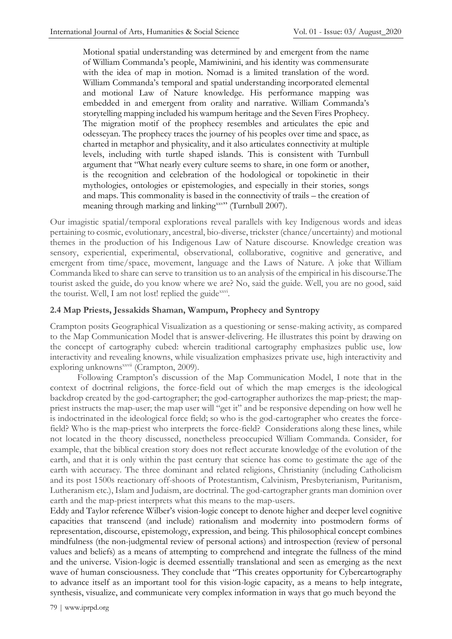Motional spatial understanding was determined by and emergent from the name of William Commanda's people, Mamiwinini, and his identity was commensurate with the idea of map in motion. Nomad is a limited translation of the word. William Commanda's temporal and spatial understanding incorporated elemental and motional Law of Nature knowledge. His performance mapping was embedded in and emergent from orality and narrative. William Commanda's storytelling mapping included his wampum heritage and the Seven Fires Prophecy. The migration motif of the prophecy resembles and articulates the epic and odesseyan. The prophecy traces the journey of his peoples over time and space, as charted in metaphor and physicality, and it also articulates connectivity at multiple levels, including with turtle shaped islands. This is consistent with Turnbull argument that "What nearly every culture seems to share, in one form or another, is the recognition and celebration of the hodological or topokinetic in their mythologies, ontologies or epistemologies, and especially in their stories, songs and maps. This commonality is based in the connectivity of trails – the creation of meaning through marking and linking<sup>xxv</sup>" (Turnbull 2007).

Our imagistic spatial/temporal explorations reveal parallels with key Indigenous words and ideas pertaining to cosmic, evolutionary, ancestral, bio-diverse, trickster (chance/uncertainty) and motional themes in the production of his Indigenous Law of Nature discourse. Knowledge creation was sensory, experiential, experimental, observational, collaborative, cognitive and generative, and emergent from time/space, movement, language and the Laws of Nature. A joke that William Commanda liked to share can serve to transition us to an analysis of the empirical in his discourse.The tourist asked the guide, do you know where we are? No, said the guide. Well, you are no good, said the tourist. Well, I am not lost! replied the guide<sup>xxvi</sup>.

### **2.4 Map Priests, Jessakids Shaman, Wampum, Prophecy and Syntropy**

Crampton posits Geographical Visualization as a questioning or sense-making activity, as compared to the Map Communication Model that is answer-delivering. He illustrates this point by drawing on the concept of cartography cubed: wherein traditional cartography emphasizes public use, low interactivity and revealing knowns, while visualization emphasizes private use, high interactivity and exploring unknowns<sup>xxvii</sup> (Crampton, 2009).

Following Crampton's discussion of the Map Communication Model, I note that in the context of doctrinal religions, the force-field out of which the map emerges is the ideological backdrop created by the god-cartographer; the god-cartographer authorizes the map-priest; the mappriest instructs the map-user; the map user will "get it" and be responsive depending on how well he is indoctrinated in the ideological force field; so who is the god-cartographer who creates the forcefield? Who is the map-priest who interprets the force-field? Considerations along these lines, while not located in the theory discussed, nonetheless preoccupied William Commanda. Consider, for example, that the biblical creation story does not reflect accurate knowledge of the evolution of the earth, and that it is only within the past century that science has come to gestimate the age of the earth with accuracy. The three dominant and related religions, Christianity (including Catholicism and its post 1500s reactionary off-shoots of Protestantism, Calvinism, Presbyterianism, Puritanism, Lutheranism etc.), Islam and Judaism, are doctrinal. The god-cartographer grants man dominion over earth and the map-priest interprets what this means to the map-users.

Eddy and Taylor reference Wilber's vision-logic concept to denote higher and deeper level cognitive capacities that transcend (and include) rationalism and modernity into postmodern forms of representation, discourse, epistemology, expression, and being. This philosophical concept combines mindfulness (the non-judgmental review of personal actions) and introspection (review of personal values and beliefs) as a means of attempting to comprehend and integrate the fullness of the mind and the universe. Vision-logic is deemed essentially translational and seen as emerging as the next wave of human consciousness. They conclude that "This creates opportunity for Cybercartography to advance itself as an important tool for this vision-logic capacity, as a means to help integrate, synthesis, visualize, and communicate very complex information in ways that go much beyond the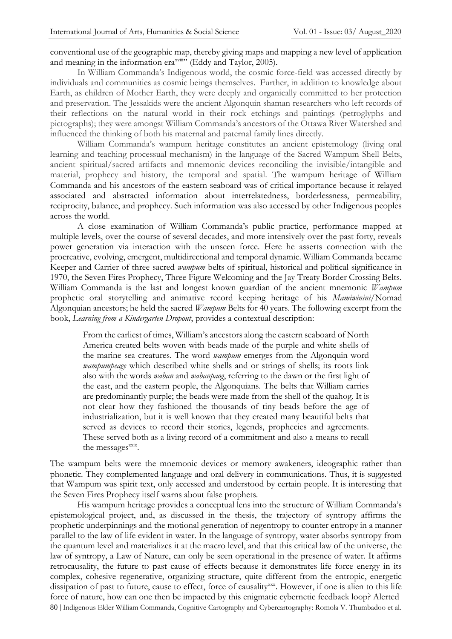conventional use of the geographic map, thereby giving maps and mapping a new level of application and meaning in the information era<sup>xviii</sup><sup></sup> (Eddy and Taylor, 2005).

In William Commanda's Indigenous world, the cosmic force-field was accessed directly by individuals and communities as cosmic beings themselves. Further, in addition to knowledge about Earth, as children of Mother Earth, they were deeply and organically committed to her protection and preservation. The Jessakids were the ancient Algonquin shaman researchers who left records of their reflections on the natural world in their rock etchings and paintings (petroglyphs and pictographs); they were amongst William Commanda's ancestors of the Ottawa River Watershed and influenced the thinking of both his maternal and paternal family lines directly.

William Commanda's wampum heritage constitutes an ancient epistemology (living oral learning and teaching processual mechanism) in the language of the Sacred Wampum Shell Belts, ancient spiritual/sacred artifacts and mnemonic devices reconciling the invisible/intangible and material, prophecy and history, the temporal and spatial. The wampum heritage of William Commanda and his ancestors of the eastern seaboard was of critical importance because it relayed associated and abstracted information about interrelatedness, borderlessness, permeability, reciprocity, balance, and prophecy. Such information was also accessed by other Indigenous peoples across the world.

A close examination of William Commanda's public practice, performance mapped at multiple levels, over the course of several decades, and more intensively over the past forty, reveals power generation via interaction with the unseen force. Here he asserts connection with the procreative, evolving, emergent, multidirectional and temporal dynamic. William Commanda became Keeper and Carrier of three sacred *wampum* belts of spiritual, historical and political significance in 1970, the Seven Fires Prophecy, Three Figure Welcoming and the Jay Treaty Border Crossing Belts. William Commanda is the last and longest known guardian of the ancient mnemonic *Wampum* prophetic oral storytelling and animative record keeping heritage of his *Mamiwinini/*Nomad Algonquian ancestors; he held the sacred *Wampum* Belts for 40 years. The following excerpt from the book, *Learning from a Kindergarten Dropout*, provides a contextual description:

From the earliest of times, William's ancestors along the eastern seaboard of North America created belts woven with beads made of the purple and white shells of the marine sea creatures. The word *wampum* emerges from the Algonquin word *wampumpeage* which described white shells and or strings of shells; its roots link also with the words *waban* and *wabanpaog*, referring to the dawn or the first light of the east, and the eastern people, the Algonquians. The belts that William carries are predominantly purple; the beads were made from the shell of the quahog. It is not clear how they fashioned the thousands of tiny beads before the age of industrialization, but it is well known that they created many beautiful belts that served as devices to record their stories, legends, prophecies and agreements. These served both as a living record of a commitment and also a means to recall the messages<sup>xxix</sup>.

The wampum belts were the mnemonic devices or memory awakeners, ideographic rather than phonetic. They complemented language and oral delivery in communications. Thus, it is suggested that Wampum was spirit text, only accessed and understood by certain people. It is interesting that the Seven Fires Prophecy itself warns about false prophets.

80 | Indigenous Elder William Commanda, Cognitive Cartography and Cybercartography: Romola V. Thumbadoo et al. His wampum heritage provides a conceptual lens into the structure of William Commanda's epistemological project, and, as discussed in the thesis, the trajectory of syntropy affirms the prophetic underpinnings and the motional generation of negentropy to counter entropy in a manner parallel to the law of life evident in water. In the language of syntropy, water absorbs syntropy from the quantum level and materializes it at the macro level, and that this critical law of the universe, the law of syntropy, a Law of Nature, can only be seen operational in the presence of water. It affirms retrocausality, the future to past cause of effects because it demonstrates life force energy in its complex, cohesive regenerative, organizing structure, quite different from the entropic, energetic dissipation of past to future, cause to effect, force of causality<sup>xxx</sup>. However, if one is alien to this life force of nature, how can one then be impacted by this enigmatic cybernetic feedback loop? Alerted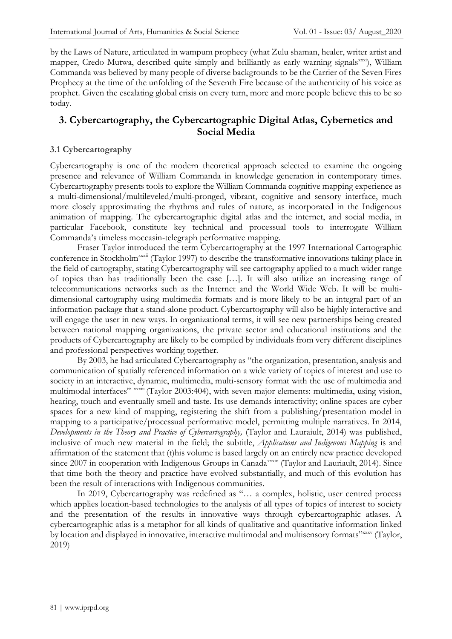by the Laws of Nature, articulated in wampum prophecy (what Zulu shaman, healer, writer artist and mapper, Credo Mutwa, described quite simply and brilliantly as early warning signals<sup>xxxi</sup>), William Commanda was believed by many people of diverse backgrounds to be the Carrier of the Seven Fires Prophecy at the time of the unfolding of the Seventh Fire because of the authenticity of his voice as prophet. Given the escalating global crisis on every turn, more and more people believe this to be so today.

# **3. Cybercartography, the Cybercartographic Digital Atlas, Cybernetics and Social Media**

#### **3.1 Cybercartography**

Cybercartography is one of the modern theoretical approach selected to examine the ongoing presence and relevance of William Commanda in knowledge generation in contemporary times. Cybercartography presents tools to explore the William Commanda cognitive mapping experience as a multi-dimensional/multileveled/multi-pronged, vibrant, cognitive and sensory interface, much more closely approximating the rhythms and rules of nature, as incorporated in the Indigenous animation of mapping. The cybercartographic digital atlas and the internet, and social media, in particular Facebook, constitute key technical and processual tools to interrogate William Commanda's timeless moccasin-telegraph performative mapping.

Fraser Taylor introduced the term Cybercartography at the 1997 International Cartographic conference in Stockholm<sup>xxxii</sup> (Taylor 1997) to describe the transformative innovations taking place in the field of cartography, stating Cybercartography will see cartography applied to a much wider range of topics than has traditionally been the case […]. It will also utilize an increasing range of telecommunications networks such as the Internet and the World Wide Web. It will be multidimensional cartography using multimedia formats and is more likely to be an integral part of an information package that a stand-alone product. Cybercartography will also be highly interactive and will engage the user in new ways. In organizational terms, it will see new partnerships being created between national mapping organizations, the private sector and educational institutions and the products of Cybercartography are likely to be compiled by individuals from very different disciplines and professional perspectives working together.

By 2003, he had articulated Cybercartography as "the organization, presentation, analysis and communication of spatially referenced information on a wide variety of topics of interest and use to society in an interactive, dynamic, multimedia, multi-sensory format with the use of multimedia and multimodal interfaces" xxxiii (Taylor 2003:404), with seven major elements: multimedia, using vision, hearing, touch and eventually smell and taste. Its use demands interactivity; online spaces are cyber spaces for a new kind of mapping, registering the shift from a publishing/presentation model in mapping to a participative/processual performative model, permitting multiple narratives. In 2014, *Developments in the Theory and Practice of Cybercartography,* (Taylor and Lauraiult, 2014) was published, inclusive of much new material in the field; the subtitle, *Applications and Indigenous Mapping* is and affirmation of the statement that (t)his volume is based largely on an entirely new practice developed since 2007 in cooperation with Indigenous Groups in Canada<sup>xxxiv</sup> (Taylor and Lauriault, 2014). Since that time both the theory and practice have evolved substantially, and much of this evolution has been the result of interactions with Indigenous communities.

In 2019, Cybercartography was redefined as "… a complex, holistic, user centred process which applies location-based technologies to the analysis of all types of topics of interest to society and the presentation of the results in innovative ways through cybercartographic atlases. A cybercartographic atlas is a metaphor for all kinds of qualitative and quantitative information linked by location and displayed in innovative, interactive multimodal and multisensory formats"xxxv (Taylor, 2019)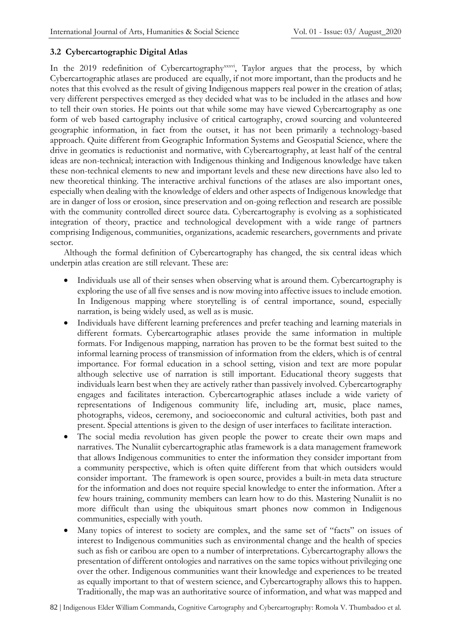#### **3.2 Cybercartographic Digital Atlas**

In the 2019 redefinition of Cybercartography<sup>xxxvi</sup>, Taylor argues that the process, by which Cybercartographic atlases are produced are equally, if not more important, than the products and he notes that this evolved as the result of giving Indigenous mappers real power in the creation of atlas; very different perspectives emerged as they decided what was to be included in the atlases and how to tell their own stories. He points out that while some may have viewed Cybercartography as one form of web based cartography inclusive of critical cartography, crowd sourcing and volunteered geographic information, in fact from the outset, it has not been primarily a technology-based approach. Quite different from Geographic Information Systems and Geospatial Science, where the drive in geomatics is reductionist and normative, with Cybercartography, at least half of the central ideas are non-technical; interaction with Indigenous thinking and Indigenous knowledge have taken these non-technical elements to new and important levels and these new directions have also led to new theoretical thinking. The interactive archival functions of the atlases are also important ones, especially when dealing with the knowledge of elders and other aspects of Indigenous knowledge that are in danger of loss or erosion, since preservation and on-going reflection and research are possible with the community controlled direct source data. Cybercartography is evolving as a sophisticated integration of theory, practice and technological development with a wide range of partners comprising Indigenous, communities, organizations, academic researchers, governments and private sector.

Although the formal definition of Cybercartography has changed, the six central ideas which underpin atlas creation are still relevant. These are:

- Individuals use all of their senses when observing what is around them. Cybercartography is exploring the use of all five senses and is now moving into affective issues to include emotion. In Indigenous mapping where storytelling is of central importance, sound, especially narration, is being widely used, as well as is music.
- Individuals have different learning preferences and prefer teaching and learning materials in different formats. Cybercartographic atlases provide the same information in multiple formats. For Indigenous mapping, narration has proven to be the format best suited to the informal learning process of transmission of information from the elders, which is of central importance. For formal education in a school setting, vision and text are more popular although selective use of narration is still important. Educational theory suggests that individuals learn best when they are actively rather than passively involved. Cybercartography engages and facilitates interaction. Cybercartographic atlases include a wide variety of representations of Indigenous community life, including art, music, place names, photographs, videos, ceremony, and socioeconomic and cultural activities, both past and present. Special attentions is given to the design of user interfaces to facilitate interaction.
- The social media revolution has given people the power to create their own maps and narratives. The Nunaliit cybercartographic atlas framework is a data management framework that allows Indigenous communities to enter the information they consider important from a community perspective, which is often quite different from that which outsiders would consider important. The framework is open source, provides a built-in meta data structure for the information and does not require special knowledge to enter the information. After a few hours training, community members can learn how to do this. Mastering Nunaliit is no more difficult than using the ubiquitous smart phones now common in Indigenous communities, especially with youth.
- Many topics of interest to society are complex, and the same set of "facts" on issues of interest to Indigenous communities such as environmental change and the health of species such as fish or caribou are open to a number of interpretations. Cybercartography allows the presentation of different ontologies and narratives on the same topics without privileging one over the other. Indigenous communities want their knowledge and experiences to be treated as equally important to that of western science, and Cybercartography allows this to happen. Traditionally, the map was an authoritative source of information, and what was mapped and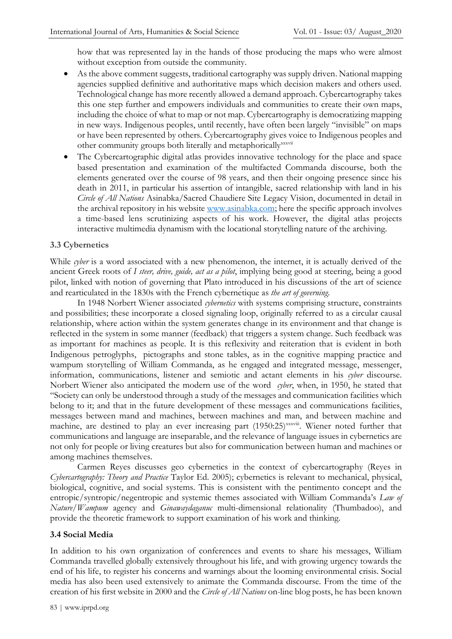how that was represented lay in the hands of those producing the maps who were almost without exception from outside the community.

- As the above comment suggests, traditional cartography was supply driven. National mapping agencies supplied definitive and authoritative maps which decision makers and others used. Technological change has more recently allowed a demand approach. Cybercartography takes this one step further and empowers individuals and communities to create their own maps, including the choice of what to map or not map. Cybercartography is democratizing mapping in new ways. Indigenous peoples, until recently, have often been largely "invisible" on maps or have been represented by others. Cybercartography gives voice to Indigenous peoples and other community groups both literally and metaphorically<sup>xxxvii</sup>
- The Cybercartographic digital atlas provides innovative technology for the place and space based presentation and examination of the multifacted Commanda discourse, both the elements generated over the course of 98 years, and then their ongoing presence since his death in 2011, in particular his assertion of intangible, sacred relationship with land in his *Circle of All Nations* Asinabka/Sacred Chaudiere Site Legacy Vision, documented in detail in the archival repository in his website [www.asinabka.com;](http://www.asinabka.com/) here the specific approach involves a time-based lens scrutinizing aspects of his work. However, the digital atlas projects interactive multimedia dynamism with the locational storytelling nature of the archiving.

#### **3.3 Cybernetics**

While *cyber* is a word associated with a new phenomenon, the internet, it is actually derived of the ancient Greek roots of *I steer, drive, guide, act as a pilot*, implying being good at steering, being a good pilot, linked with notion of governing that Plato introduced in his discussions of the art of science and rearticulated in the 1830s with the French cybernétique as *the art of governing*.

In 1948 Norbert Wiener associated *cybernetics* with systems comprising structure, constraints and possibilities; these incorporate a closed signaling loop, originally referred to as a circular causal relationship, where action within the system generates change in its environment and that change is reflected in the system in some manner (feedback) that triggers a system change. Such feedback was as important for machines as people. It is this reflexivity and reiteration that is evident in both Indigenous petroglyphs, pictographs and stone tables, as in the cognitive mapping practice and wampum storytelling of William Commanda, as he engaged and integrated message, messenger, information, communications, listener and semiotic and actant elements in his *cyber* discourse. Norbert Wiener also anticipated the modern use of the word *cyber*, when, in 1950, he stated that "Society can only be understood through a study of the messages and communication facilities which belong to it; and that in the future development of these messages and communications facilities, messages between mand and machines, between machines and man, and between machine and machine, are destined to play an ever increasing part (1950:25)<sup>xxxviii</sup>. Wiener noted further that communications and language are inseparable, and the relevance of language issues in cybernetics are not only for people or living creatures but also for communication between human and machines or among machines themselves.

Carmen Reyes discusses geo cybernetics in the context of cybercartography (Reyes in *Cybercartography: Theory and Practice* Taylor Ed. 2005); cybernetics is relevant to mechanical, physical, biological, cognitive, and social systems. This is consistent with the pentimento concept and the entropic/syntropic/negentropic and systemic themes associated with William Commanda's *Law of Nature/Wampum* agency and *Ginawaydaganuc* multi-dimensional relationality (Thumbadoo), and provide the theoretic framework to support examination of his work and thinking.

#### **3.4 Social Media**

In addition to his own organization of conferences and events to share his messages, William Commanda travelled globally extensively throughout his life, and with growing urgency towards the end of his life, to register his concerns and warnings about the looming environmental crisis. Social media has also been used extensively to animate the Commanda discourse. From the time of the creation of his first website in 2000 and the *Circle of All Nations* on-line blog posts, he has been known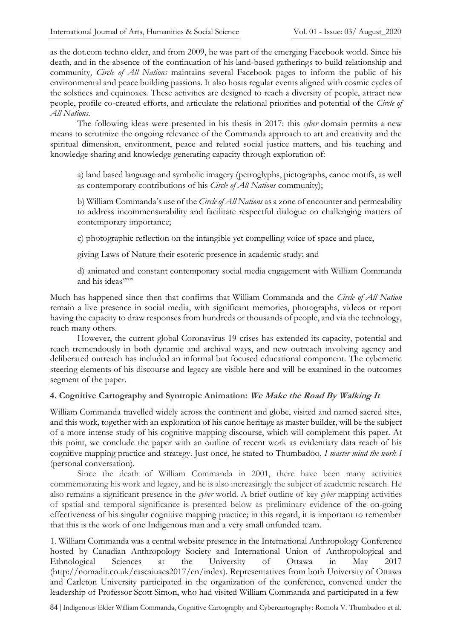as the dot.com techno elder, and from 2009, he was part of the emerging Facebook world. Since his death, and in the absence of the continuation of his land-based gatherings to build relationship and community, *Circle of All Nations* maintains several Facebook pages to inform the public of his environmental and peace building passions. It also hosts regular events aligned with cosmic cycles of the solstices and equinoxes. These activities are designed to reach a diversity of people, attract new people, profile co-created efforts, and articulate the relational priorities and potential of the *Circle of All Nations*.

The following ideas were presented in his thesis in 2017: this *cyber* domain permits a new means to scrutinize the ongoing relevance of the Commanda approach to art and creativity and the spiritual dimension, environment, peace and related social justice matters, and his teaching and knowledge sharing and knowledge generating capacity through exploration of:

a) land based language and symbolic imagery (petroglyphs, pictographs, canoe motifs, as well as contemporary contributions of his *Circle of All Nations* community);

b) William Commanda's use of the *Circle of All Nations* as a zone of encounter and permeability to address incommensurability and facilitate respectful dialogue on challenging matters of contemporary importance;

c) photographic reflection on the intangible yet compelling voice of space and place,

giving Laws of Nature their esoteric presence in academic study; and

d) animated and constant contemporary social media engagement with William Commanda and his ideas<sup>xxxix</sup>

Much has happened since then that confirms that William Commanda and the *Circle of All Nation* remain a live presence in social media, with significant memories, photographs, videos or report having the capacity to draw responses from hundreds or thousands of people, and via the technology, reach many others.

However, the current global Coronavirus 19 crises has extended its capacity, potential and reach tremendously in both dynamic and archival ways, and new outreach involving agency and deliberated outreach has included an informal but focused educational component. The cybernetic steering elements of his discourse and legacy are visible here and will be examined in the outcomes segment of the paper.

#### **4. Cognitive Cartography and Syntropic Animation: We Make the Road By Walking It**

William Commanda travelled widely across the continent and globe, visited and named sacred sites, and this work, together with an exploration of his canoe heritage as master builder, will be the subject of a more intense study of his cognitive mapping discourse, which will complement this paper. At this point, we conclude the paper with an outline of recent work as evidentiary data reach of his cognitive mapping practice and strategy. Just once, he stated to Thumbadoo, *I master mind the work I*  (personal conversation).

Since the death of William Commanda in 2001, there have been many activities commemorating his work and legacy, and he is also increasingly the subject of academic research. He also remains a significant presence in the *cyber* world. A brief outline of key *cyber* mapping activities of spatial and temporal significance is presented below as preliminary evidence of the on-going effectiveness of his singular cognitive mapping practice; in this regard, it is important to remember that this is the work of one Indigenous man and a very small unfunded team.

1. William Commanda was a central website presence in the International Anthropology Conference hosted by Canadian Anthropology Society and International Union of Anthropological and Ethnological Sciences at the University of Ottawa in May 2017 (http://nomadit.co.uk/cascaiuaes2017/en/index). Representatives from both University of Ottawa and Carleton University participated in the organization of the conference, convened under the leadership of Professor Scott Simon, who had visited William Commanda and participated in a few

84 | Indigenous Elder William Commanda, Cognitive Cartography and Cybercartography: Romola V. Thumbadoo et al.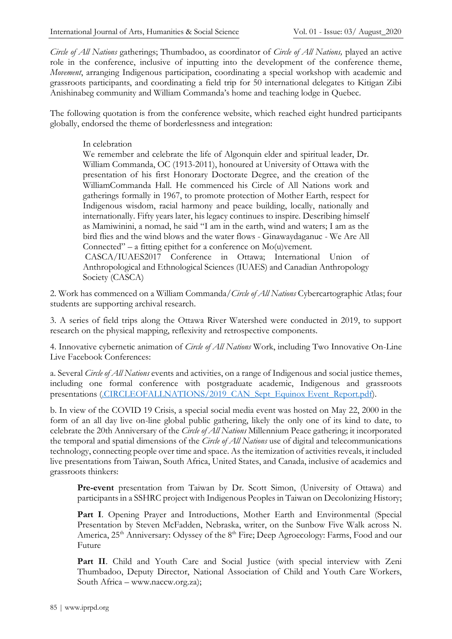*Circle of All Nations* gatherings; Thumbadoo, as coordinator of *Circle of All Nations,* played an active role in the conference, inclusive of inputting into the development of the conference theme, *Movement*, arranging Indigenous participation, coordinating a special workshop with academic and grassroots participants, and coordinating a field trip for 50 international delegates to Kitigan Zibi Anishinabeg community and William Commanda's home and teaching lodge in Quebec.

The following quotation is from the conference website, which reached eight hundred participants globally, endorsed the theme of borderlessness and integration:

#### In celebration

We remember and celebrate the life of Algonquin elder and spiritual leader, Dr. William Commanda, OC (1913-2011), honoured at University of Ottawa with the presentation of his first Honorary Doctorate Degree, and the creation of the WilliamCommanda Hall. He commenced his Circle of All Nations work and gatherings formally in 1967, to promote protection of Mother Earth, respect for Indigenous wisdom, racial harmony and peace building, locally, nationally and internationally. Fifty years later, his legacy continues to inspire. Describing himself as Mamiwinini, a nomad, he said "I am in the earth, wind and waters; I am as the bird flies and the wind blows and the water flows - Ginawaydaganuc - We Are All Connected" – a fitting epithet for a conference on Mo(u)vement. CASCA/IUAES2017 Conference in Ottawa; International Union of

Anthropological and Ethnological Sciences (IUAES) and Canadian Anthropology Society (CASCA)

2. Work has commenced on a William Commanda/*Circle of All Nations* Cybercartographic Atlas; four students are supporting archival research.

3. A series of field trips along the Ottawa River Watershed were conducted in 2019, to support research on the physical mapping, reflexivity and retrospective components.

4. Innovative cybernetic animation of *Circle of All Nations* Work, including Two Innovative On-Line Live Facebook Conferences:

a. Several *Circle of All Nations* events and activities, on a range of Indigenous and social justice themes, including one formal conference with postgraduate academic, Indigenous and grassroots presentations [\(.CIRCLEOFALLNATIONS/2019\\_CAN\\_Sept\\_Equinox Event\\_Report.pdf\)](/private/var/folders/jn/nls3fcjs5lsgbxp57_10wwt80000gn/T/com.apple.mail/com.apple.mail/Documents/CIRCLEOFALLNATIONS/2019_CAN_Sept_Event_Report.pdf).

b. In view of the COVID 19 Crisis, a special social media event was hosted on May 22, 2000 in the form of an all day live on-line global public gathering, likely the only one of its kind to date, to celebrate the 20th Anniversary of the *Circle of All Nations* Millennium Peace gathering; it incorporated the temporal and spatial dimensions of the *Circle of All Nations* use of digital and telecommunications technology, connecting people over time and space. As the itemization of activities reveals, it included live presentations from Taiwan, South Africa, United States, and Canada, inclusive of academics and grassroots thinkers:

Pre-event presentation from Taiwan by Dr. Scott Simon, (University of Ottawa) and participants in a SSHRC project with Indigenous Peoples in Taiwan on Decolonizing History;

Part I. Opening Prayer and Introductions, Mother Earth and Environmental (Special Presentation by Steven McFadden, Nebraska, writer, on the Sunbow Five Walk across N. America, 25<sup>th</sup> Anniversary: Odyssey of the 8<sup>th</sup> Fire; Deep Agroecology: Farms, Food and our Future

**Part II**. Child and Youth Care and Social Justice (with special interview with Zeni Thumbadoo, Deputy Director, National Association of Child and Youth Care Workers, South Africa – www.naccw.org.za);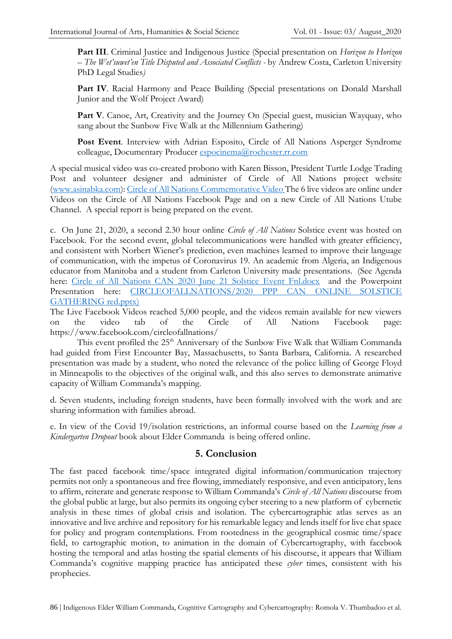**Part III**. Criminal Justice and Indigenous Justice (Special presentation on *Horizon to Horizon – The Wet'suwet'en Title Disputed and Associated Conflicts -* by Andrew Costa, Carleton University PhD Legal Studies*)*

**Part IV**. Racial Harmony and Peace Building (Special presentations on Donald Marshall Junior and the Wolf Project Award)

Part V. Canoe, Art, Creativity and the Journey On (Special guest, musician Wayquay, who sang about the Sunbow Five Walk at the Millennium Gathering)

**Post Event**. Interview with Adrian Esposito, Circle of All Nations Asperger Syndrome colleague, Documentary Producer [espocinema@rochester.rr.com](mailto:espocinema@rochester.rr.com)

A special musical video was co-created probono with Karen Bisson, President Turtle Lodge Trading Post and volunteer designer and administer of Circle of All Nations project website [\(www.asinabka.com\)](http://www.asinabka.com/)[: Circle of All Nations Commemorative Video](https://youtu.be/qVLKwKa-oi4) The 6 live videos are online under Videos on the Circle of All Nations Facebook Page and on a new Circle of All Nations Utube Channel. A special report is being prepared on the event.

c. On June 21, 2020, a second 2.30 hour online *Circle of All Nations* Solstice event was hosted on Facebook. For the second event, global telecommunications were handled with greater efficiency, and consistent with Norbert Wiener's prediction, even machines learned to improve their language of communication, with the impetus of Coronavirus 19. An academic from Algeria, an Indigenous educator from Manitoba and a student from Carleton University made presentations. (See Agenda here: [Circle of All Nations CAN 2020 June 21 Solstice Event Fnl.docx](/Users/romola/Documents/CIRCLEOFALLNATIONS/CAN%202020%20June%2021%20Solstice%20Event%20Fnl.docx) and the Powerpoint Presentation here: [CIRCLEOFALLNATIONS/2020 PPP CAN ONLINE SOLSTICE](/Users/romola/Documents/CIRCLEOFALLNATIONS/2020%20CAN%20ONLINE%20SOLSTICE%20GATHERING%20red.pptx)  [GATHERING red.pptx\)](/Users/romola/Documents/CIRCLEOFALLNATIONS/2020%20CAN%20ONLINE%20SOLSTICE%20GATHERING%20red.pptx)

The Live Facebook Videos reached 5,000 people, and the videos remain available for new viewers on the video tab of the Circle of All Nations Facebook page: https://www.facebook.com/circleofallnations/

This event profiled the 25<sup>th</sup> Anniversary of the Sunbow Five Walk that William Commanda had guided from First Encounter Bay, Massachusetts, to Santa Barbara, California. A researched presentation was made by a student, who noted the relevance of the police killing of George Floyd in Minneapolis to the objectives of the original walk, and this also serves to demonstrate animative capacity of William Commanda's mapping.

d. Seven students, including foreign students, have been formally involved with the work and are sharing information with families abroad.

e. In view of the Covid 19/isolation restrictions, an informal course based on the *Learning from a Kindergarten Dropout* book about Elder Commanda is being offered online.

## **5. Conclusion**

The fast paced facebook time/space integrated digital information/communication trajectory permits not only a spontaneous and free flowing, immediately responsive, and even anticipatory, lens to affirm, reiterate and generate response to William Commanda's *Circle of All Nations* discourse from the global public at large, but also permits its ongoing cyber steering to a new platform of cybernetic analysis in these times of global crisis and isolation. The cybercartographic atlas serves as an innovative and live archive and repository for his remarkable legacy and lends itself for live chat space for policy and program contemplations. From rootedness in the geographical cosmic time/space field, to cartographic motion, to animation in the domain of Cybercartography, with facebook hosting the temporal and atlas hosting the spatial elements of his discourse, it appears that William Commanda's cognitive mapping practice has anticipated these *cyber* times, consistent with his prophecies.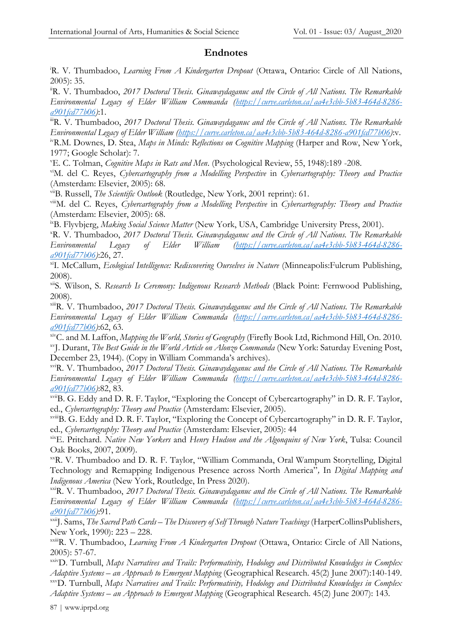#### **Endnotes**

<sup>i</sup>R. V. Thumbadoo, *Learning From A Kindergarten Dropout* (Ottawa, Ontario: Circle of All Nations, 2005): 35.

iiR. V. Thumbadoo, *2017 Doctoral Thesis. Ginawaydaganuc and the Circle of All Nations. The Remarkable Environmental Legacy of Elder William Commanda [\(https://curve.carleton.ca/aa4e3cbb-5b83-464d-8286](https://curve.carleton.ca/aa4e3cbb-5b83-464d-8286-a901fcd77b06) [a901fcd77b06\)](https://curve.carleton.ca/aa4e3cbb-5b83-464d-8286-a901fcd77b06)*:1.

i<sup>ii</sup>R. V. Thumbadoo, 2017 Doctoral Thesis. Ginawaydaganuc and the Circle of All Nations. The Remarkable *Environmental Legacy of Elder William [\(https://curve.carleton.ca/aa4e3cbb-5b83-464d-8286-a901fcd77b06\)](https://curve.carleton.ca/aa4e3cbb-5b83-464d-8286-a901fcd77b06)*:v. <sup>iv</sup>R.M. Downes, D. Stea, *Maps in Minds: Reflections on Cognitive Mapping* (Harper and Row, New York, 1977; Google Scholar): 7.

<sup>v</sup>E. C. Tolman, *Cognitive Maps in Rats and Men*. (Psychological Review, 55, 1948):189 -208.

viM. del C. Reyes, *Cybercartography from a Modelling Perspective* in *Cybercartography: Theory and Practice*  (Amsterdam: Elsevier, 2005): 68.

viiB. Russell, *The Scientific Outlook* (Routledge, New York, 2001 reprint): 61.

viiiM. del C. Reyes, *Cybercartography from a Modelling Perspective* in *Cybercartography: Theory and Practice*  (Amsterdam: Elsevier, 2005): 68.

ixB. Flyvbjerg, *Making Social Science Matter* (New York, USA, Cambridge University Press, 2001).

<sup>x</sup>R. V. Thumbadoo, *2017 Doctoral Thesis. Ginawaydaganuc and the Circle of All Nations. The Remarkable Environmental Legacy of Elder William [\(https://curve.carleton.ca/aa4e3cbb-5b83-464d-8286](https://curve.carleton.ca/aa4e3cbb-5b83-464d-8286-a901fcd77b06) [a901fcd77b06\)](https://curve.carleton.ca/aa4e3cbb-5b83-464d-8286-a901fcd77b06)*:26, 27.

xiI. McCallum, *Ecological Intelligence: Rediscovering Ourselves in Nature* (Minneapolis:Fulcrum Publishing, 2008).

xiiS. Wilson, S. *Research Is Ceremony: Indigenous Research Methods* (Black Point: Fernwood Publishing, 2008).

xiiiR. V. Thumbadoo, *2017 Doctoral Thesis. Ginawaydaganuc and the Circle of All Nations. The Remarkable Environmental Legacy of Elder William Commanda [\(https://curve.carleton.ca/aa4e3cbb-5b83-464d-8286](https://curve.carleton.ca/aa4e3cbb-5b83-464d-8286-a901fcd77b06) [a901fcd77b06\)](https://curve.carleton.ca/aa4e3cbb-5b83-464d-8286-a901fcd77b06)*:62, 63.

xivC. and M. Laffon, *Mapping the World, Stories of Geography* (Firefly Book Ltd, Richmond Hill, On. 2010. xvJ. Durant, *The Best Guide in the World Article on Alonzo Commanda* (New York: Saturday Evening Post, December 23, 1944). (Copy in William Commanda's archives).

xviR. V. Thumbadoo, *2017 Doctoral Thesis. Ginawaydaganuc and the Circle of All Nations. The Remarkable Environmental Legacy of Elder William Commanda [\(https://curve.carleton.ca/aa4e3cbb-5b83-464d-8286](https://curve.carleton.ca/aa4e3cbb-5b83-464d-8286-a901fcd77b06) [a901fcd77b06\)](https://curve.carleton.ca/aa4e3cbb-5b83-464d-8286-a901fcd77b06)*:82, 83.

xviiB. G. Eddy and D. R. F. Taylor, "Exploring the Concept of Cybercartography" in D. R. F. Taylor, ed., *Cybercartography: Theory and Practice* (Amsterdam: Elsevier, 2005).

xviiiB. G. Eddy and D. R. F. Taylor, "Exploring the Concept of Cybercartography" in D. R. F. Taylor, ed., *Cybercartography: Theory and Practice* (Amsterdam: Elsevier, 2005): 44

xixE. Pritchard. *Native New Yorkers* and *Henry Hudson and the Algonquins of New York*, Tulsa: Council Oak Books, 2007, 2009).

xxR. V. Thumbadoo and D. R. F. Taylor, "William Commanda, Oral Wampum Storytelling, Digital Technology and Remapping Indigenous Presence across North America"*,* In *Digital Mapping and Indigenous America* (New York, Routledge, In Press 2020).

xxiR. V. Thumbadoo, *2017 Doctoral Thesis. Ginawaydaganuc and the Circle of All Nations. The Remarkable Environmental Legacy of Elder William Commanda [\(https://curve.carleton.ca/aa4e3cbb-5b83-464d-8286](https://curve.carleton.ca/aa4e3cbb-5b83-464d-8286-a901fcd77b06) [a901fcd77b06\)](https://curve.carleton.ca/aa4e3cbb-5b83-464d-8286-a901fcd77b06)*:91.

xxiiJ. Sams, *The Sacred Path Cards – The Discovery of Self Through Nature Teachings* (HarperCollinsPublishers, New York, 1990): 223 – 228.

xxiiiR. V. Thumbadoo, *Learning From A Kindergarten Dropout* (Ottawa, Ontario: Circle of All Nations, 2005): 57-67.

xxivD. Turnbull, *Maps Narratives and Trails: Performativity, Hodology and Distributed Knowledges in Complex Adaptive Systems – an Approach to Emergent Mapping* (Geographical Research. 45(2) June 2007):140-149. xxvD. Turnbull, *Maps Narratives and Trails: Performativity, Hodology and Distributed Knowledges in Complex Adaptive Systems – an Approach to Emergent Mapping* (Geographical Research. 45(2) June 2007): 143.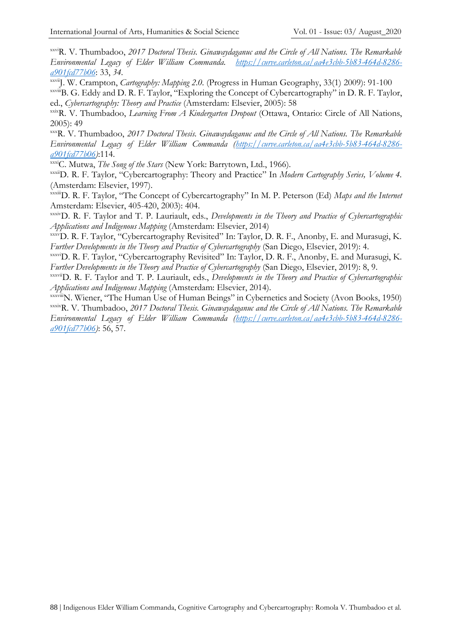xxviR. V. Thumbadoo, *2017 Doctoral Thesis. Ginawaydaganuc and the Circle of All Nations. The Remarkable Environmental Legacy of Elder William Commanda. [https://curve.carleton.ca/aa4e3cbb-5b83-464d-8286](https://curve.carleton.ca/aa4e3cbb-5b83-464d-8286-a901fcd77b06%203) [a901fcd77b06](https://curve.carleton.ca/aa4e3cbb-5b83-464d-8286-a901fcd77b06%203)*: 33, *34.*

xxviiJ. W. Crampton, *Cartography: Mapping 2.0.* (Progress in Human Geography, 33(1) 2009): 91-100

xxviiiB. G. Eddy and D. R. F. Taylor, "Exploring the Concept of Cybercartography" in D. R. F. Taylor, ed., *Cybercartography: Theory and Practice* (Amsterdam: Elsevier, 2005): 58

xxixR. V. Thumbadoo, *Learning From A Kindergarten Dropout* (Ottawa, Ontario: Circle of All Nations, 2005): 49

xxxR. V. Thumbadoo, *2017 Doctoral Thesis. Ginawaydaganuc and the Circle of All Nations. The Remarkable Environmental Legacy of Elder William Commanda [\(https://curve.carleton.ca/aa4e3cbb-5b83-464d-8286](https://curve.carleton.ca/aa4e3cbb-5b83-464d-8286-a901fcd77b06) [a901fcd77b06\)](https://curve.carleton.ca/aa4e3cbb-5b83-464d-8286-a901fcd77b06)*:114.

xxxiC. Mutwa, *The Song of the Stars* (New York: Barrytown, Ltd., 1966).

xxxiiD. R. F. Taylor, "Cybercartography: Theory and Practice" In *Modern Cartography Series, Volume 4.* (Amsterdam: Elsevier, 1997).

xxxiiiD. R. F. Taylor, "The Concept of Cybercartography" In M. P. Peterson (Ed) *Maps and the Internet* Amsterdam: Elsevier, 405-420, 2003): 404.

xxxivD. R. F. Taylor and T. P. Lauriault, eds., *Developments in the Theory and Practice of Cybercartographic Applications and Indigenous Mapping* (Amsterdam: Elsevier, 2014)

xxxvD. R. F. Taylor, "Cybercartography Revisited" In: Taylor, D. R. F., Anonby, E. and Murasugi, K. *Further Developments in the Theory and Practice of Cybercartography* (San Diego, Elsevier, 2019): 4.

xxxviD. R. F. Taylor, "Cybercartography Revisited" In: Taylor, D. R. F., Anonby, E. and Murasugi, K. *Further Developments in the Theory and Practice of Cybercartography* (San Diego, Elsevier, 2019): 8, 9.

xxxviiD. R. F. Taylor and T. P. Lauriault, eds., *Developments in the Theory and Practice of Cybercartographic Applications and Indigenous Mapping* (Amsterdam: Elsevier, 2014).

xxxviiiN. Wiener, "The Human Use of Human Beings" in Cybernetics and Society (Avon Books, 1950) xxxixR. V. Thumbadoo, *2017 Doctoral Thesis. Ginawaydaganuc and the Circle of All Nations. The Remarkable Environmental Legacy of Elder William Commanda [\(https://curve.carleton.ca/aa4e3cbb-5b83-464d-8286](https://curve.carleton.ca/aa4e3cbb-5b83-464d-8286-a901fcd77b06) [a901fcd77b06\)](https://curve.carleton.ca/aa4e3cbb-5b83-464d-8286-a901fcd77b06)*: 56, 57.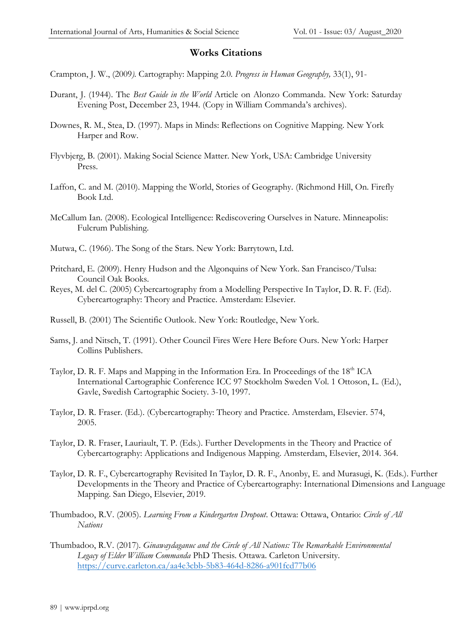## **Works Citations**

Crampton, J. W., (2009*).* Cartography: Mapping 2.0*. Progress in Human Geography,* 33(1), 91-

- Durant, J. (1944). The *Best Guide in the World* Article on Alonzo Commanda. New York: Saturday Evening Post, December 23, 1944. (Copy in William Commanda's archives).
- Downes, R. M., Stea, D. (1997). Maps in Minds: Reflections on Cognitive Mapping. New York Harper and Row.
- Flyvbjerg, B. (2001). Making Social Science Matter. New York, USA: Cambridge University Press.
- Laffon, C. and M. (2010). Mapping the World, Stories of Geography. (Richmond Hill, On. Firefly Book Ltd.
- McCallum Ian. (2008). Ecological Intelligence: Rediscovering Ourselves in Nature. Minneapolis: Fulcrum Publishing.
- Mutwa, C. (1966). The Song of the Stars. New York: Barrytown, Ltd.
- Pritchard, E. (2009). Henry Hudson and the Algonquins of New York. San Francisco/Tulsa: Council Oak Books.
- Reyes, M. del C. (2005) Cybercartography from a Modelling Perspective In Taylor, D. R. F. (Ed). Cybercartography: Theory and Practice. Amsterdam: Elsevier.
- Russell, B. (2001) The Scientific Outlook. New York: Routledge, New York.
- Sams, J. and Nitsch, T. (1991). Other Council Fires Were Here Before Ours. New York: Harper Collins Publishers.
- Taylor, D. R. F. Maps and Mapping in the Information Era. In Proceedings of the 18<sup>th</sup> ICA International Cartographic Conference ICC 97 Stockholm Sweden Vol. 1 Ottoson, L. (Ed.), Gavle, Swedish Cartographic Society. 3-10, 1997.
- Taylor, D. R. Fraser. (Ed.). (Cybercartography: Theory and Practice. Amsterdam, Elsevier. 574, 2005.
- Taylor, D. R. Fraser, Lauriault, T. P. (Eds.). Further Developments in the Theory and Practice of Cybercartography: Applications and Indigenous Mapping. Amsterdam, Elsevier, 2014. 364.
- Taylor, D. R. F., Cybercartography Revisited In Taylor, D. R. F., Anonby, E. and Murasugi, K. (Eds.). Further Developments in the Theory and Practice of Cybercartography: International Dimensions and Language Mapping. San Diego, Elsevier, 2019.
- Thumbadoo, R.V. (2005). *Learning From a Kindergarten Dropout*. Ottawa: Ottawa, Ontario: *Circle of All Nations*
- Thumbadoo, R.V. (2017). *Ginawaydaganuc and the Circle of All Nations: The Remarkable Environmental Legacy of Elder William Commanda* PhD Thesis. Ottawa. Carleton University. <https://curve.carleton.ca/aa4e3cbb-5b83-464d-8286-a901fcd77b06>